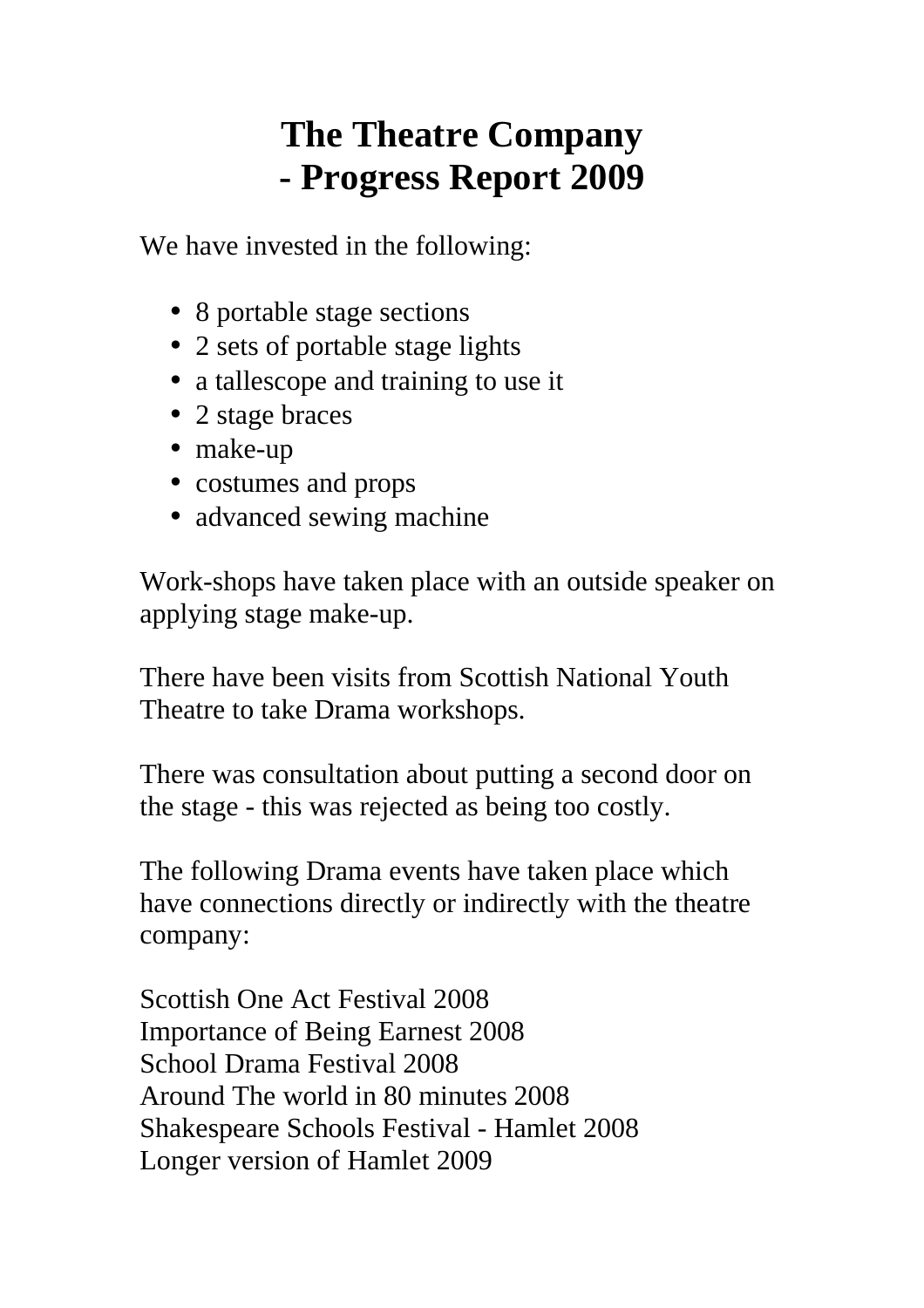## **The Theatre Company - Progress Report 2009**

We have invested in the following:

- 8 portable stage sections
- 2 sets of portable stage lights
- a tallescope and training to use it
- 2 stage braces
- make-up
- costumes and props
- advanced sewing machine

Work-shops have taken place with an outside speaker on applying stage make-up.

There have been visits from Scottish National Youth Theatre to take Drama workshops.

There was consultation about putting a second door on the stage - this was rejected as being too costly.

The following Drama events have taken place which have connections directly or indirectly with the theatre company:

Scottish One Act Festival 2008 Importance of Being Earnest 2008 School Drama Festival 2008 Around The world in 80 minutes 2008 Shakespeare Schools Festival - Hamlet 2008 Longer version of Hamlet 2009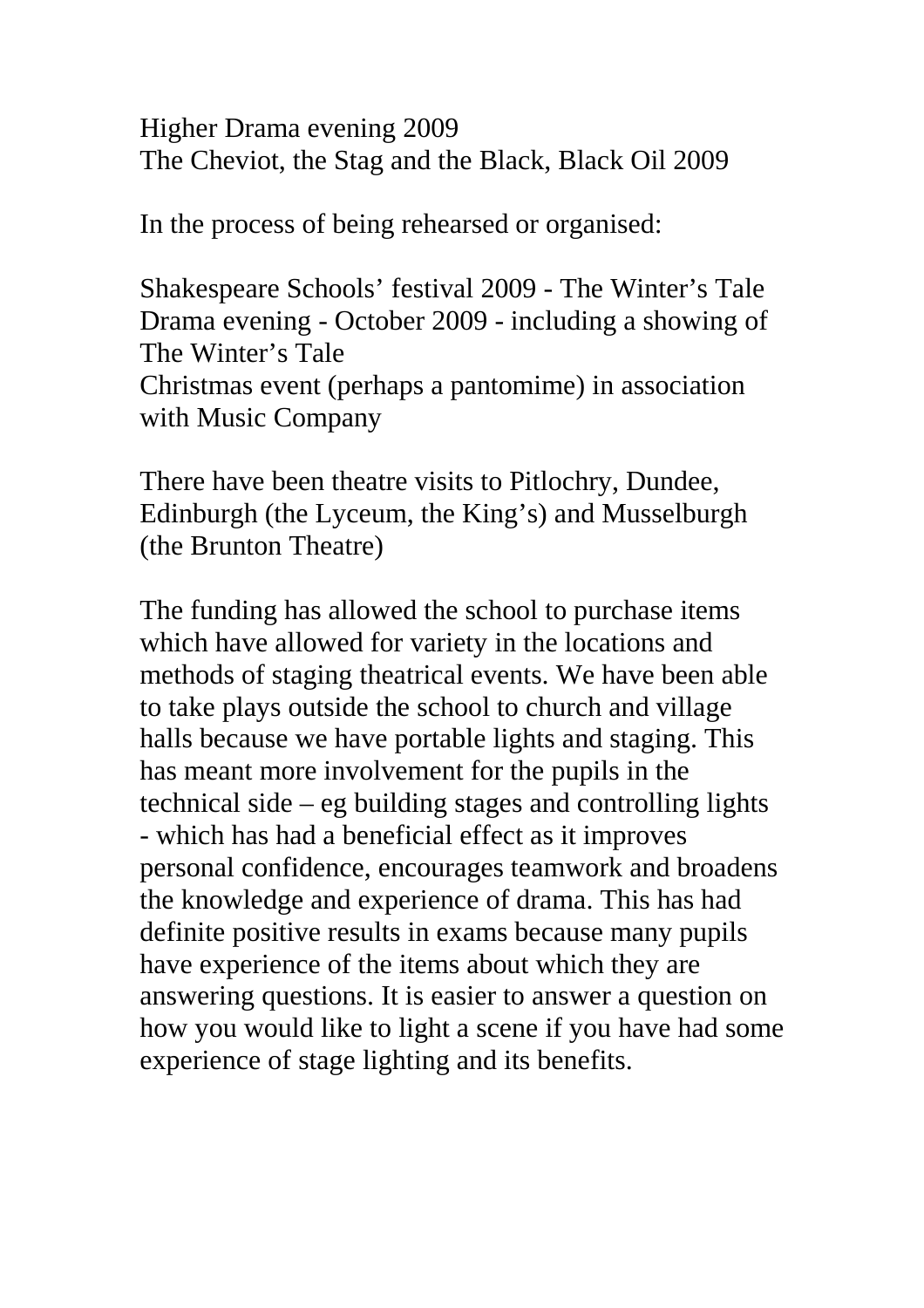Higher Drama evening 2009 The Cheviot, the Stag and the Black, Black Oil 2009

In the process of being rehearsed or organised:

Shakespeare Schools' festival 2009 - The Winter's Tale Drama evening - October 2009 - including a showing of The Winter's Tale Christmas event (perhaps a pantomime) in association with Music Company

There have been theatre visits to Pitlochry, Dundee, Edinburgh (the Lyceum, the King's) and Musselburgh (the Brunton Theatre)

The funding has allowed the school to purchase items which have allowed for variety in the locations and methods of staging theatrical events. We have been able to take plays outside the school to church and village halls because we have portable lights and staging. This has meant more involvement for the pupils in the technical side – eg building stages and controlling lights - which has had a beneficial effect as it improves personal confidence, encourages teamwork and broadens the knowledge and experience of drama. This has had definite positive results in exams because many pupils have experience of the items about which they are answering questions. It is easier to answer a question on how you would like to light a scene if you have had some experience of stage lighting and its benefits.